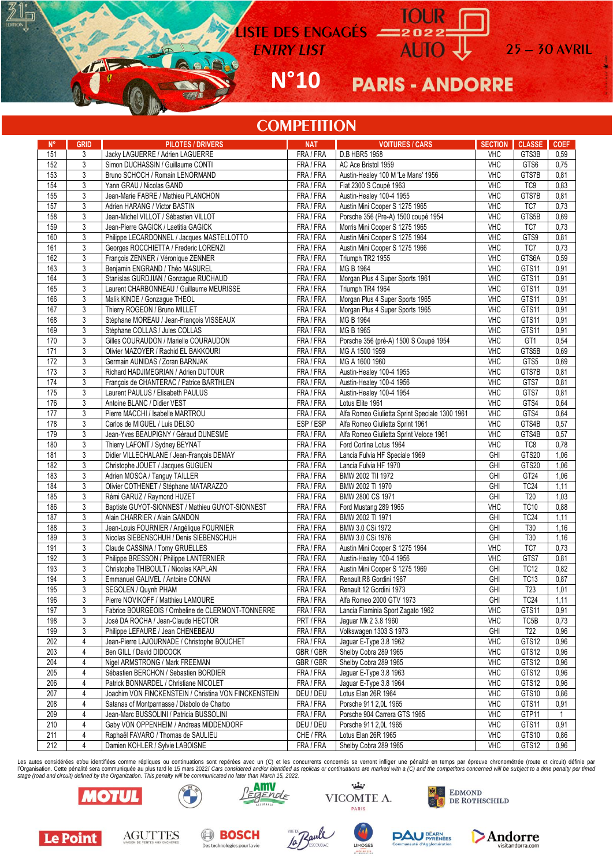LISTE DES ENGAGES = 2022

 $N°10$ 

**PARIS - ANDORRE** 

 $25 - 30$  AVRIL

## **COMPETITION**

| $N^{\circ}$ | <b>GRID</b>    | <b>PILOTES / DRIVERS</b>                              | <b>NAT</b> | <b>VOITURES / CARS</b>                         | <b>SECTION</b> | <b>CLASSE</b>    | <b>COEF</b>    |
|-------------|----------------|-------------------------------------------------------|------------|------------------------------------------------|----------------|------------------|----------------|
| 151         | 3              | Jacky LAGUERRE / Adrien LAGUERRE                      | FRA / FRA  | D.B HBR5 1958                                  | <b>VHC</b>     | GTS3B            | 0,59           |
| 152         | 3              | Simon DUCHASSIN / Guillaume CONTI                     | FRA / FRA  | AC Ace Bristol 1959                            | <b>VHC</b>     | GTS6             | 0,75           |
| 153         | 3              | Bruno SCHOCH / Romain LENORMAND                       | FRA / FRA  | Austin-Healey 100 M 'Le Mans' 1956             | <b>VHC</b>     | GTS7B            | 0,81           |
| 154         | 3              | Yann GRAU / Nicolas GAND                              | FRA / FRA  | Fiat 2300 S Coupé 1963                         | <b>VHC</b>     | TC <sub>9</sub>  | 0,83           |
| 155         | 3              | Jean-Marie FABRE / Mathieu PLANCHON                   | FRA / FRA  | Austin-Healey 100-4 1955                       | <b>VHC</b>     | GTS7B            | 0,81           |
| 157         | 3              |                                                       | FRA / FRA  |                                                | <b>VHC</b>     | TC7              | 0,73           |
|             |                | Adrien HARANG / Victor BASTIN                         |            | Austin Mini Cooper S 1275 1965                 |                |                  |                |
| 158         | 3              | Jean-Michel VILLOT / Sébastien VILLOT                 | FRA / FRA  | Porsche 356 (Pre-A) 1500 coupé 1954            | <b>VHC</b>     | GTS5B            | 0,69           |
| 159         | 3              | Jean-Pierre GAGICK / Laetitia GAGICK                  | FRA/FRA    | Morris Mini Cooper S 1275 1965                 | <b>VHC</b>     | TC7              | 0,73           |
| 160         | 3              | Philippe LECARDONNEL / Jacques MASTELLOTTO            | FRA / FRA  | Austin Mini Cooper S 1275 1964                 | <b>VHC</b>     | GTS9             | 0,81           |
| 161         | $\sqrt{3}$     | Georges ROCCHIETTA / Frederic LORENZI                 | FRA / FRA  | Austin Mini Cooper S 1275 1966                 | <b>VHC</b>     | TC7              | 0,73           |
| 162         | 3              | François ZENNER / Véronique ZENNER                    | FRA / FRA  | Triumph TR2 1955                               | <b>VHC</b>     | GTS6A            | 0,59           |
| 163         | 3              | Beniamin ENGRAND / Théo MASUREL                       | FRA/FRA    | MG B 1964                                      | <b>VHC</b>     | GTS11            | 0,91           |
| 164         | 3              | Stanislas GURDJIAN / Gonzaque RUCHAUD                 | FRA / FRA  | Morgan Plus 4 Super Sports 1961                | <b>VHC</b>     | GTS11            | 0,91           |
| 165         | 3              | Laurent CHARBONNEAU / Guillaume MEURISSE              | FRA / FRA  | Triumph TR4 1964                               | <b>VHC</b>     | GTS11            | 0,91           |
| 166         | 3              | Malik KINDE / Gonzague THEOL                          | FRA / FRA  | Morgan Plus 4 Super Sports 1965                | <b>VHC</b>     | GTS11            | 0,91           |
| 167         | 3              | Thierry ROGEON / Bruno MILLET                         | FRA / FRA  | Morgan Plus 4 Super Sports 1965                | <b>VHC</b>     | GTS11            | 0,91           |
| 168         | 3              | Stéphane MOREAU / Jean-François VISSEAUX              | FRA / FRA  | MG B 1964                                      | <b>VHC</b>     | GTS11            | 0,91           |
| 169         | 3              | Stéphane COLLAS / Jules COLLAS                        | FRA / FRA  | MG B 1965                                      | <b>VHC</b>     | GTS11            | 0,91           |
| 170         | 3              | Gilles COURAUDON / Marielle COURAUDON                 | FRA/FRA    | Porsche 356 (pré-A) 1500 S Coupé 1954          | <b>VHC</b>     | GT <sub>1</sub>  | 0,54           |
| 171         | 3              | Olivier MAZOYER / Rachid EL BAKKOURI                  | FRA / FRA  | MG A 1500 1959                                 | <b>VHC</b>     | GTS5B            | 0,69           |
| 172         | 3              | Germain AUNIDAS / Zoran BARNJAK                       | FRA / FRA  | MG A 1600 1960                                 | <b>VHC</b>     | GTS5             | 0,69           |
| 173         | 3              | Richard HADJIMEGRIAN / Adrien DUTOUR                  | FRA / FRA  | Austin-Healey 100-4 1955                       | <b>VHC</b>     | GTS7B            | 0,81           |
| 174         | 3              | François de CHANTERAC / Patrice BARTHLEN              | FRA / FRA  | Austin-Healey 100-4 1956                       | <b>VHC</b>     | GTS7             | 0,81           |
| 175         | 3              | Laurent PAULUS / Elisabeth PAULUS                     | FRA / FRA  | Austin-Healey 100-4 1954                       | <b>VHC</b>     | GTS7             | 0,81           |
| 176         |                |                                                       |            |                                                | <b>VHC</b>     | GTS4             |                |
| 177         | 3              | Antoine BLANC / Didier VEST                           | FRA / FRA  | Lotus Elite 1961                               | <b>VHC</b>     | GTS4             | 0,64           |
|             | 3              | Pierre MACCHI / Isabelle MARTROU                      | FRA / FRA  | Alfa Romeo Giulietta Sprint Speciale 1300 1961 |                |                  | 0,64           |
| 178         | 3              | Carlos de MIGUEL / Luis DELSO                         | ESP/ESP    | Alfa Romeo Giulietta Sprint 1961               | <b>VHC</b>     | GTS4B            | 0,57           |
| 179         | 3              | Jean-Yves BEAUPIGNY / Géraud DUNESME                  | FRA / FRA  | Alfa Romeo Giulietta Sprint Veloce 1961        | <b>VHC</b>     | GTS4B            | 0,57           |
| 180         | 3              | Thierry LAFONT / Sydney BEYNAT                        | FRA / FRA  | Ford Cortina Lotus 1964                        | <b>VHC</b>     | TC8              | 0,78           |
| 181         | 3              | Didier VILLECHALANE / Jean-François DEMAY             | FRA / FRA  | Lancia Fulvia HF Speciale 1969                 | GHI            | GTS20            | 1,06           |
| 182         | 3              | Christophe JOUET / Jacques GUGUEN                     | FRA / FRA  | Lancia Fulvia HF 1970                          | GHI            | GTS20            | 1,06           |
| 183         | $\overline{3}$ | Adrien MOSCA / Tanguy TAILLER                         | FRA / FRA  | BMW 2002 TII 1972                              | GHI            | GT24             | 1,06           |
| 184         | 3              | Olivier COTHENET / Stéphane MATARAZZO                 | FRA / FRA  | BMW 2002 TI 1970                               | GHI            | TC24             | 1,11           |
| 185         | 3              | Rémi GARUZ / Raymond HUZET                            | FRA / FRA  | BMW 2800 CS 1971                               | GHI            | T20              | 1,03           |
| 186         | $\sqrt{3}$     | Baptiste GUYOT-SIONNEST / Mathieu GUYOT-SIONNEST      | FRA / FRA  | Ford Mustang 289 1965                          | <b>VHC</b>     | <b>TC10</b>      | 0,88           |
| 187         | 3              | Alain CHARRIER / Alain GANDON                         | FRA / FRA  | BMW 2002 TI 1971                               | GHI            | TC <sub>24</sub> | 1,11           |
| 188         | 3              | Jean-Louis FOURNIER / Angélique FOURNIER              | FRA / FRA  | BMW 3.0 CSi 1972                               | GHI            | T30              | 1,16           |
| 189         | $\sqrt{3}$     | Nicolas SIEBENSCHUH / Denis SIEBENSCHUH               | FRA / FRA  | BMW 3.0 CSi 1976                               | GHI            | T30              | 1,16           |
| 191         | 3              | Claude CASSINA / Tomy GRUELLES                        | FRA / FRA  | Austin Mini Cooper S 1275 1964                 | <b>VHC</b>     | TC7              | 0,73           |
| 192         | 3              | Philippe BRESSON / Philippe LANTERNIER                | FRA / FRA  | Austin-Healey 100-4 1956                       | <b>VHC</b>     | GTS7             | 0,81           |
| 193         | 3              | Christophe THIBOULT / Nicolas KAPLAN                  | FRA / FRA  | Austin Mini Cooper S 1275 1969                 | GHI            | TC <sub>12</sub> | 0,82           |
| 194         | $\sqrt{3}$     | Emmanuel GALIVEL / Antoine CONAN                      | FRA / FRA  | Renault R8 Gordini 1967                        | GHI            | <b>TC13</b>      | 0,87           |
| 195         | 3              | SEGOLEN / Quynh PHAM                                  | FRA / FRA  | Renault 12 Gordini 1973                        | GHI            | T <sub>23</sub>  | 1,01           |
| 196         | 3              | Pierre NOVIKOFF / Matthieu LAMOURE                    | FRA/FRA    | Alfa Romeo 2000 GTV 1973                       | GHI            | <b>TC24</b>      | 1,11           |
| 197         | 3              | Fabrice BOURGEOIS / Ombeline de CLERMONT-TONNERRE     | FRA / FRA  | Lancia Flaminia Sport Zagato 1962              | <b>VHC</b>     | GTS11            | 0.91           |
| 198         | 3              |                                                       |            |                                                | <b>VHC</b>     |                  |                |
|             |                | José DA ROCHA / Jean-Claude HECTOR                    | PRT / FRA  | Jaguar Mk 2 3.8 1960                           |                | TC5B             | 0,73           |
| 199         | 3              | Philippe LEFAURE / Jean CHENEBEAU                     | FRA / FRA  | Volkswagen 1303 S 1973                         | GHI            | T22              | 0,96           |
| 202         | 4              | Jean-Pierre LAJOURNADE / Christophe BOUCHET           | FRA / FRA  | Jaguar E-Type 3.8 1962                         | <b>VHC</b>     | GTS12            | 0,96           |
| 203         | 4              | Ben GILL / David DIDCOCK                              | GBR / GBR  | Shelby Cobra 289 1965                          | <b>VHC</b>     | GTS12            | 0,96           |
| 204         | 4              | Nigel ARMSTRONG / Mark FREEMAN                        | GBR / GBR  | Shelby Cobra 289 1965                          | <b>VHC</b>     | GTS12            | 0,96           |
| 205         | 4              | Sébastien BERCHON / Sebastien BORDIER                 | FRA / FRA  | Jaguar E-Type 3.8 1963                         | <b>VHC</b>     | GTS12            | 0,96           |
| 206         | 4              | Patrick BONNARDEL / Christiane NICOLET                | FRA / FRA  | Jaquar E-Type 3.8 1964                         | <b>VHC</b>     | GTS12            | 0,96           |
| 207         | 4              | Joachim VON FINCKENSTEIN / Christina VON FINCKENSTEIN | DEU / DEU  | Lotus Elan 26R 1964                            | <b>VHC</b>     | GTS10            | 0,86           |
| 208         | 4              | Satanas of Montparnasse / Diabolo de Charbo           | FRA / FRA  | Porsche 911 2,0L 1965                          | <b>VHC</b>     | GTS11            | 0,91           |
| 209         | 4              | Jean-Marc BUSSOLINI / Patricia BUSSOLINI              | FRA / FRA  | Porsche 904 Carrera GTS 1965                   | <b>VHC</b>     | GTP11            | $\overline{1}$ |
| 210         | 4              | Gaby VON OPPENHEIM / Andreas MIDDENDORF               | DEU / DEU  | Porsche 911 2,0L 1965                          | <b>VHC</b>     | GTS11            | 0,91           |
| 211         | 4              | Raphaël FAVARO / Thomas de SAULIEU                    | CHE / FRA  | Lotus Elan 26R 1965                            | VHC            | GTS10            | 0,86           |
| 212         | 4              | Damien KOHLER / Sylvie LABOISNE                       | FRA / FRA  | Shelby Cobra 289 1965                          | VHC            | GTS12            | 0,96           |

Les autos considérées et/ou identifiées comme répliques ou continuations sont repérées avec un (C) et les concurrents concernés se verront infliger une pénalité en temps par épreuve chronométrée (route et circuit) définie



 $\mathbb{I}_{\square}$ 

л.



بنشنه VICOMTE A. PARIS

LIMOGES





**BOSCH** Des technologies pour la vie





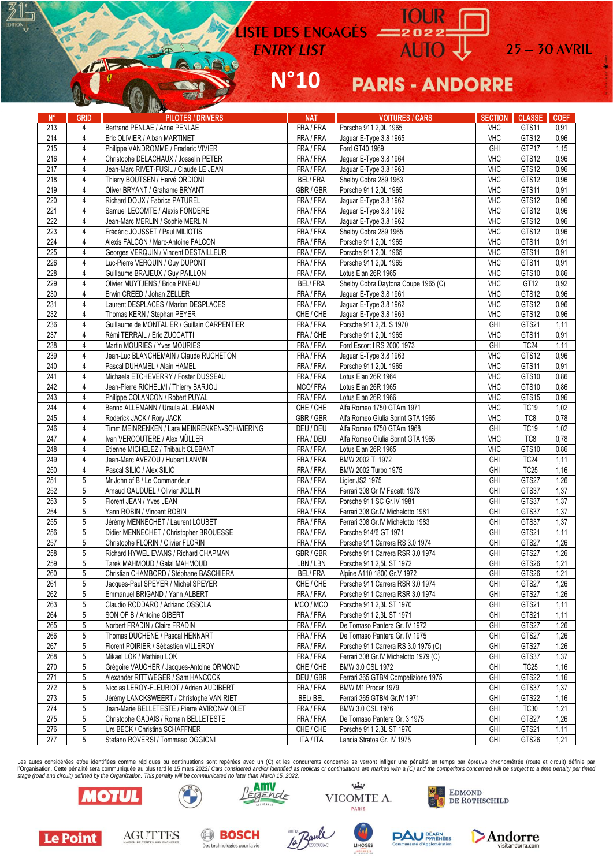LISTE DES ENGAGÉS<br>ENTRY LIST<br>ENTRY LIST<br>COMPOSITION

## $N°10$ **PARIS - ANDORRE**

 $25 - 30$  AVRIL

| $N^{\circ}$ |                | <b>See Think the Community</b>                            |                       | <b>VOITURES / CARS</b>                | <b>SECTION</b> | <b>CLASSE</b>    |             |
|-------------|----------------|-----------------------------------------------------------|-----------------------|---------------------------------------|----------------|------------------|-------------|
| 213         | <b>GRID</b>    | <b>PILOTES / DRIVERS</b><br>Bertrand PENLAE / Anne PENLAE | <b>NAT</b><br>FRA/FRA |                                       | <b>VHC</b>     | GTS11            | <b>COEF</b> |
|             | 4              |                                                           |                       | Porsche 911 2,0L 1965                 |                |                  | 0,91        |
| 214         | $\overline{4}$ | Eric OLIVIER / Alban MARTINET                             | FRA / FRA             | Jaguar E-Type 3.8 1965                | <b>VHC</b>     | GTS12            | 0,96        |
| 215         | 4              | Philippe VANDROMME / Frederic VIVIER                      | FRA / FRA             | Ford GT40 1969                        | GHI            | GTP17            | 1,15        |
| 216         | 4              | Christophe DELACHAUX / Josselin PETER                     | FRA / FRA             | Jaguar E-Type 3.8 1964                | <b>VHC</b>     | GTS12            | 0,96        |
| 217         | 4              | Jean-Marc RIVET-FUSIL / Claude LE JEAN                    | FRA / FRA             | Jaguar E-Type 3.8 1963                | <b>VHC</b>     | GTS12            | 0,96        |
| 218         | 4              | Thierry BOUTSEN / Hervé ORDIONI                           | <b>BEL/FRA</b>        | Shelby Cobra 289 1963                 | <b>VHC</b>     | GTS12            | 0,96        |
| 219         | 4              | Oliver BRYANT / Grahame BRYANT                            | GBR / GBR             | Porsche 911 2,0L 1965                 | <b>VHC</b>     | GTS11            | 0,91        |
| 220         | 4              | Richard DOUX / Fabrice PATUREL                            | FRA / FRA             | Jaguar E-Type 3.8 1962                | <b>VHC</b>     | GTS12            | 0,96        |
| 221         | 4              | Samuel LECOMTE / Alexis FONDERE                           | FRA / FRA             | Jaguar E-Type 3.8 1962                | <b>VHC</b>     | GTS12            | 0,96        |
| 222         | 4              | Jean-Marc MERLIN / Sophie MERLIN                          | FRA / FRA             | Jaguar E-Type 3.8 1962                | <b>VHC</b>     | GTS12            | 0,96        |
| 223         | 4              | Frédéric JOUSSET / Paul MILIOTIS                          | FRA / FRA             | Shelby Cobra 289 1965                 | <b>VHC</b>     | GTS12            | 0,96        |
| 224         | $\overline{4}$ | Alexis FALCON / Marc-Antoine FALCON                       | FRA / FRA             | Porsche 911 2,0L 1965                 | <b>VHC</b>     | GTS11            | 0,91        |
| 225         | 4              | Georges VERQUIN / Vincent DESTAILLEUR                     | FRA/FRA               | Porsche 911 2,0L 1965                 | <b>VHC</b>     | GTS11            | 0,91        |
| 226         | 4              | Luc-Pierre VERQUIN / Guy DUPONT                           | FRA / FRA             | Porsche 911 2,0L 1965                 | <b>VHC</b>     | GTS11            | 0,91        |
| 228         | 4              | Guillaume BRAJEUX / Guy PAILLON                           | FRA / FRA             | Lotus Elan 26R 1965                   | <b>VHC</b>     | GTS10            | 0,86        |
| 229         | 4              | Olivier MUYTJENS / Brice PINEAU                           | <b>BEL/FRA</b>        | Shelby Cobra Daytona Coupe 1965 (C)   | <b>VHC</b>     | GT <sub>12</sub> | 0,92        |
| 230         | 4              | Erwin CREED / Johan ZELLER                                | FRA / FRA             | Jaguar E-Type 3.8 1961                | <b>VHC</b>     | GTS12            | 0,96        |
| 231         | 4              | Laurent DESPLACES / Marion DESPLACES                      | FRA / FRA             | Jaguar E-Type 3.8 1962                | <b>VHC</b>     | GTS12            | 0,96        |
| 232         | 4              | Thomas KERN / Stephan PEYER                               | CHE / CHE             | Jaguar E-Type 3.8 1963                | <b>VHC</b>     | GTS12            | 0,96        |
| 236         | $\overline{4}$ | Guillaume de MONTALIER / Guillain CARPENTIER              | FRA / FRA             | Porsche 911 2,2L S 1970               | GHI            | GTS21            | 1,11        |
| 237         | 4              | Rémi TERRAIL / Eric ZUCCATTI                              | FRA / CHE             | Porsche 911 2,0L 1965                 | <b>VHC</b>     | GTS11            | 0,91        |
| 238         | 4              | Martin MOURIES / Yves MOURIES                             | FRA / FRA             | Ford Escort I RS 2000 1973            | GHI            | <b>TC24</b>      | 1,11        |
| 239         | 4              | Jean-Luc BLANCHEMAIN / Claude RUCHETON                    | FRA / FRA             | Jaguar E-Type 3.8 1963                | <b>VHC</b>     | GTS12            | 0,96        |
| 240         | 4              | Pascal DUHAMEL / Alain HAMEL                              | FRA / FRA             | Porsche 911 2,0L 1965                 | <b>VHC</b>     | GTS11            | 0,91        |
| 241         | 4              | Michaela ETCHEVERRY / Foster DUSSEAU                      | FRA / FRA             | Lotus Elan 26R 1964                   | <b>VHC</b>     | GTS10            | 0,86        |
| 242         | 4              | Jean-Pierre RICHELMI / Thierry BARJOU                     | MCO/FRA               | Lotus Elan 26R 1965                   | <b>VHC</b>     | GTS10            | 0,86        |
| 243         | 4              | Philippe COLANCON / Robert PUYAL                          | FRA / FRA             | Lotus Elan 26R 1966                   | <b>VHC</b>     | GTS15            | 0,96        |
| 244         | $\overline{4}$ | Benno ALLEMANN / Ursula ALLEMANN                          | CHE / CHE             | Alfa Romeo 1750 GTAm 1971             | <b>VHC</b>     | <b>TC19</b>      | 1,02        |
| 245         | 4              | Roderick JACK / Rory JACK                                 | GBR / GBR             | Alfa Romeo Giulia Sprint GTA 1965     | <b>VHC</b>     | TC8              | 0,78        |
| 246         | 4              | Timm MEINRENKEN / Lara MEINRENKEN-SCHWIERING              | DEU / DEU             | Alfa Romeo 1750 GTAm 1968             | GHI            | TC <sub>19</sub> | 1,02        |
| 247         | 4              | Ivan VERCOUTERE / Alex MÜLLER                             | FRA / DEU             | Alfa Romeo Giulia Sprint GTA 1965     | <b>VHC</b>     | TC8              | 0,78        |
| 248         | 4              | Etienne MICHELEZ / Thibault CLEBANT                       | FRA / FRA             | Lotus Elan 26R 1965                   | <b>VHC</b>     | GTS10            | 0,86        |
| 249         | 4              | Jean-Marc AVEZOU / Hubert LANVIN                          | FRA / FRA             | BMW 2002 TI 1972                      | GHI            | TC <sub>24</sub> | 1,11        |
| 250         | $\sqrt{4}$     | Pascal SILIO / Alex SILIO                                 | FRA / FRA             | BMW 2002 Turbo 1975                   | GHI            | TC <sub>25</sub> | 1,16        |
|             |                |                                                           |                       |                                       |                |                  |             |
| 251         | 5              | Mr John of B / Le Commandeur                              | FRA / FRA             | Ligier JS2 1975                       | GHI            | GTS27            | 1,26        |
| 252         | 5              | Arnaud GAUDUEL / Olivier JOLLIN                           | FRA / FRA             | Ferrari 308 Gr IV Facetti 1978        | GHI            | GTS37            | 1,37        |
| 253         | 5              | Florent JEAN / Yves JEAN                                  | FRA / FRA             | Porsche 911 SC Gr.IV 1981             | GHI            | GTS37            | 1,37        |
| 254         | 5              | Yann ROBIN / Vincent ROBIN                                | FRA / FRA             | Ferrari 308 Gr.IV Michelotto 1981     | GHI            | GTS37            | 1,37        |
| 255         | 5              | Jérémy MENNECHET / Laurent LOUBET                         | FRA / FRA             | Ferrari 308 Gr.IV Michelotto 1983     | GHI            | GTS37            | 1,37        |
| 256         | 5              | Didier MENNECHET / Christopher BROUESSE                   | FRA / FRA             | Porsche 914/6 GT 1971                 | GHI            | GTS21            | 1,11        |
| 257         | 5              | Christophe FLORIN / Olivier FLORIN                        | FRA / FRA             | Porsche 911 Carrera RS 3.0 1974       | GHI            | GTS27            | 1,26        |
| 258         | 5              | Richard HYWEL EVANS / Richard CHAPMAN                     | GBR / GBR             | Porsche 911 Carrera RSR 3.0 1974      | GHI            | GTS27            | 1,26        |
| 259         | 5              | Tarek MAHMOUD / Galal MAHMOUD                             | LBN / LBN             | Porsche 911 2,5L ST 1972              | GHI            | GTS26            | 1,21        |
| 260         | 5              | Christian CHAMBORD / Stéphane BASCHIERA                   | <b>BEL/FRA</b>        | Alpine A110 1800 Gr.V 1972            | GHI            | GTS26            | 1,21        |
| 261         | 5              | Jacques-Paul SPEYER / Michel SPEYER                       | CHE / CHE             | Porsche 911 Carrera RSR 3.0 1974      | GHI            | GTS27            | 1,26        |
| 262         | 5              | Emmanuel BRIGAND / Yann ALBERT                            | FRA / FRA             | Porsche 911 Carrera RSR 3.0 1974      | GHI            | GTS27            | 1,26        |
| 263         | 5              | Claudio RODDARO / Adriano OSSOLA                          | MCO / MCO             | Porsche 911 2,3L ST 1970              | GHI            | GTS21            | 1,11        |
| 264         | 5              | SON OF B / Antoine GIBERT                                 | FRA / FRA             | Porsche 911 2,3L ST 1971              | GHI            | GTS21            | 1,11        |
| 265         | 5              | Norbert FRADIN / Claire FRADIN                            | FRA / FRA             | De Tomaso Pantera Gr. IV 1972         | GHI            | GTS27            | 1,26        |
| 266         | 5              | Thomas DUCHENE / Pascal HENNART                           | FRA / FRA             | De Tomaso Pantera Gr. IV 1975         | GHI            | GTS27            | 1,26        |
| 267         | 5              | Florent POIRIER / Sébastien VILLEROY                      | FRA / FRA             | Porsche 911 Carrera RS 3.0 1975 (C)   | GHI            | GTS27            | 1,26        |
| 268         | 5              | Mikael LOK / Mathieu LOK                                  | FRA / FRA             | Ferrari 308 Gr.IV Michelotto 1979 (C) | GHI            | GTS37            | 1,37        |
| 270         | 5              | Grégoire VAUCHER / Jacques-Antoine ORMOND                 | CHE / CHE             | BMW 3.0 CSL 1972                      | GHI            | TC <sub>25</sub> | 1,16        |
| 271         | 5              | Alexander RITTWEGER / Sam HANCOCK                         | DEU / GBR             | Ferrari 365 GTB/4 Competizione 1975   | GHI            | GTS22            | 1,16        |
| 272         | 5              | Nicolas LEROY-FLEURIOT / Adrien AUDIBERT                  | FRA / FRA             | BMW M1 Procar 1979                    | GHI            | GTS37            | 1,37        |
| 273         | 5              | Jérémy LANCKSWEERT / Christophe VAN RIET                  | <b>BEL/BEL</b>        | Ferrari 365 GTB/4 Gr.IV 1971          | GHI            | GTS22            | 1,16        |
| 274         | 5              | Jean-Marie BELLETESTE / Pierre AVIRON-VIOLET              | FRA / FRA             | BMW 3.0 CSL 1976                      | GHI            | <b>TC30</b>      | 1,21        |
| 275         | 5              | Christophe GADAIS / Romain BELLETESTE                     | FRA / FRA             | De Tomaso Pantera Gr. 3 1975          | GHI            | GTS27            | 1,26        |
| 276         |                |                                                           | CHE / CHE             | Porsche 911 2,3L ST 1970              |                | GTS21            | 1,11        |
|             | 5              | Urs BECK / Christina SCHAFFNER                            |                       |                                       | GHI            |                  |             |

Les autos considérées et/ou identifiées comme répliques ou continuations sont repérées avec un (C) et les concurrents concernés se verront infliger une pénalité en temps par épreuve chronométrée (route et circuit) définie reading the penaltie sera communique au plus tard le 15 mars 2022/ Cars considered and/or identified as replicas or continuations are marked with a (C) and the competitors concerned will be subject to a time penalty per ti



Le Point

 $\mathbb{I}_{\square}$ 

7N



بنثنه VICOMTE A. PARIS

**IMOGES** 











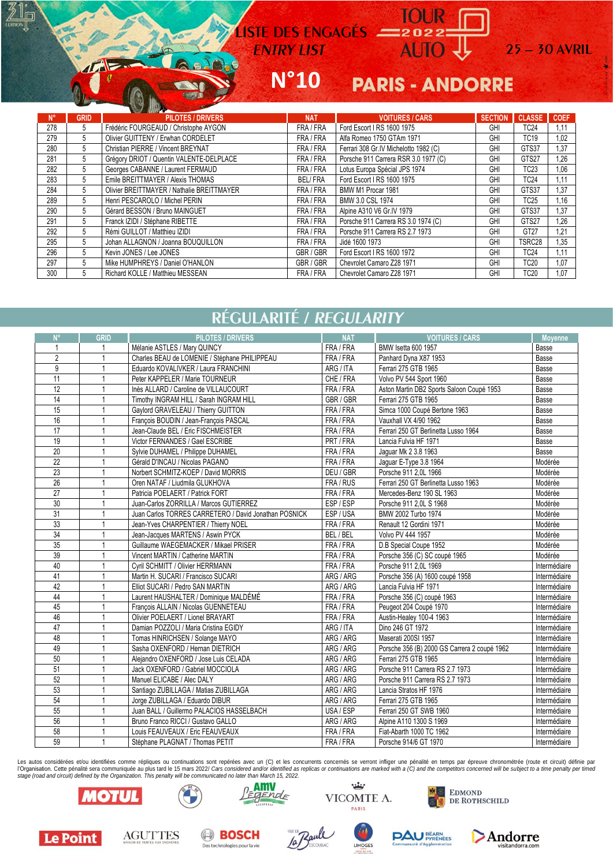LISTE DES ENGAGES = 2022

#### $N°10$ **PARIS - ANDORRE**

 $25 - 30$  AVRIL

|      |             | <b>Service Services</b>                    |                |                                       |                |               |             |
|------|-------------|--------------------------------------------|----------------|---------------------------------------|----------------|---------------|-------------|
| 'N°. | <b>GRID</b> | <b>PILOTES / DRIVERS</b>                   | <b>NAT</b>     | <b>VOITURES / CARS</b>                | <b>SECTION</b> | <b>CLASSE</b> | <b>COEF</b> |
| 278  | 5           | Frédéric FOURGEAUD / Christophe AYGON      | FRA/FRA        | Ford Escort I RS 1600 1975            | GHI            | <b>TC24</b>   | 1.11        |
| 279  | 5           | Olivier GUITTENY / Erwhan CORDELET         | FRA/FRA        | Alfa Romeo 1750 GTAm 1971             | GHI            | <b>TC19</b>   | 1,02        |
| 280  | 5           | Christian PIERRE / Vincent BREYNAT         | FRA/FRA        | Ferrari 308 Gr.IV Michelotto 1982 (C) | GHI            | GTS37         | 1.37        |
| 281  | 5           | Grégory DRIOT / Quentin VALENTE-DELPLACE   | FRA / FRA      | Porsche 911 Carrera RSR 3.0 1977 (C)  | GHI            | GTS27         | 1.26        |
| 282  | 5           | Georges CABANNE / Laurent FERMAUD          | FRA/FRA        | Lotus Europa Spécial JPS 1974         | GHI            | TC23          | 1,06        |
| 283  | 5           | Emile BREITTMAYER / Alexis THOMAS          | <b>BEL/FRA</b> | Ford Escort I RS 1600 1975            | GHI            | TC24          | 1.11        |
| 284  | 5           | Olivier BREITTMAYER / Nathalie BREITTMAYER | FRA / FRA      | BMW M1 Procar 1981                    | GHI            | GTS37         | 1.37        |
| 289  | 5           | Henri PESCAROLO / Michel PERIN             | FRA / FRA      | BMW 3.0 CSL 1974                      | GHI            | <b>TC25</b>   | 1,16        |
| 290  | 5           | Gérard BESSON / Bruno MAINGUET             | FRA/FRA        | Alpine A310 V6 Gr.IV 1979             | GHI            | GTS37         | 1,37        |
| 291  | 5           | Franck IZIDI / Stéphane RIBETTE            | FRA/FRA        | Porsche 911 Carrera RS 3.0 1974 (C)   | GHI            | GTS27         | 1.26        |
| 292  | 5           | Rémi GUILLOT / Matthieu IZIDI              | FRA/FRA        | Porsche 911 Carrera RS 2.7 1973       | GHI            | GT27          | 1.21        |
| 295  | 5           | Johan ALLAGNON / Joanna BOUQUILLON         | FRA/FRA        | Jidé 1600 1973                        | GHI            | TSRC28        | 1.35        |
| 296  | 5           | Kevin JONES / Lee JONES                    | GBR / GBR      | Ford Escort I RS 1600 1972            | GHI            | <b>TC24</b>   | 1.11        |
| 297  | 5           | Mike HUMPHREYS / Daniel O'HANLON           | GBR / GBR      | Chevrolet Camaro Z28 1971             | GHI            | <b>TC20</b>   | 1.07        |
| 300  | 5           | Richard KOLLE / Matthieu MESSEAN           | FRA / FRA      | Chevrolet Camaro Z28 1971             | GHI            | TC20          | 1.07        |

## RÉGULARITÉ / REGULARITY

| N°              | GRID | <b>PILOTES / DRIVERS</b>                              | <b>NAT</b> | <b>VOITURES / CARS</b>                       | <b>Movenne</b> |
|-----------------|------|-------------------------------------------------------|------------|----------------------------------------------|----------------|
| 1               | -1   | Mélanie ASTLES / Mary QUINCY                          | FRA / FRA  | BMW Isetta 600 1957                          | Basse          |
| $\overline{2}$  |      | Charles BEAU de LOMENIE / Stéphane PHILIPPEAU         | FRA / FRA  | Panhard Dyna X87 1953                        | Basse          |
| 9               |      | Eduardo KOVALIVKER / Laura FRANCHINI                  | ARG / ITA  | Ferrari 275 GTB 1965                         | Basse          |
| 11              |      | Peter KAPPELER / Marie TOURNEUR                       | CHE / FRA  | Volvo PV 544 Sport 1960                      | Basse          |
| 12              |      | Inès ALLARD / Caroline de VILLAUCOURT                 | FRA / FRA  | Aston Martin DB2 Sports Saloon Coupé 1953    | Basse          |
| 14              |      | Timothy INGRAM HILL / Sarah INGRAM HILL               | GBR / GBR  | Ferrari 275 GTB 1965                         | Basse          |
| 15              |      | Gaylord GRAVELEAU / Thierry GUITTON                   | FRA / FRA  | Simca 1000 Coupé Bertone 1963                | Basse          |
| 16              |      | François BOUDIN / Jean-François PASCAL                | FRA / FRA  | Vauxhall VX 4/90 1962                        | Basse          |
| 17              |      | Jean-Claude BEL / Eric FISCHMEISTER                   | FRA / FRA  | Ferrari 250 GT Berlinetta Lusso 1964         | Basse          |
| 19              |      | Victor FERNANDES / Gael ESCRIBE                       | PRT / FRA  | Lancia Fulvia HF 1971                        | Basse          |
| $\overline{20}$ |      | Sylvie DUHAMEL / Philippe DUHAMEL                     | FRA / FRA  | Jaguar Mk 2 3.8 1963                         | Basse          |
| 22              |      | Gérald D'INCAU / Nicolas PAGANO                       | FRA / FRA  | Jaquar E-Type 3.8 1964                       | Modérée        |
| 23              |      | Norbert SCHMITZ-KOEP / David MORRIS                   | DEU / GBR  | Porsche 911 2.0L 1966                        | Modérée        |
| 26              |      | Oren NATAF / Liudmila GLUKHOVA                        | FRA / RUS  | Ferrari 250 GT Berlinetta Lusso 1963         | Modérée        |
| 27              |      | Patricia POELAERT / Patrick FORT                      | FRA / FRA  | Mercedes-Benz 190 SL 1963                    | Modérée        |
| 30              |      | Juan-Carlos ZORRILLA / Marcos GUTIERREZ               | ESP/ESP    | Porsche 911 2,0L S 1968                      | Modérée        |
| 31              |      | Juan Carlos TORRES CARRETERO / David Jonathan POSNICK | ESP/USA    | BMW 2002 Turbo 1974                          | Modérée        |
| 33              |      | Jean-Yves CHARPENTIER / Thierry NOEL                  | FRA / FRA  | Renault 12 Gordini 1971                      | Modérée        |
| $\overline{34}$ |      | Jean-Jacques MARTENS / Aswin PYCK                     | BEL/BEL    | Volvo PV 444 1957                            | Modérée        |
| 35              |      | Guillaume WAEGEMACKER / Mikael PRISER                 | FRA / FRA  | D.B Special Coupe 1952                       | Modérée        |
| 39              |      | Vincent MARTIN / Catherine MARTIN                     | FRA / FRA  | Porsche 356 (C) SC coupé 1965                | Modérée        |
| 40              |      | Cyril SCHMITT / Olivier HERRMANN                      | FRA / FRA  | Porsche 911 2.0L 1969                        | Intermédiaire  |
| 41              |      | Martin H. SUCARI / Francisco SUCARI                   | ARG / ARG  | Porsche 356 (A) 1600 coupé 1958              | Intermédiaire  |
| 42              |      | Elliot SUCARI / Pedro SAN MARTIN                      | ARG / ARG  | Lancia Fulvia HF 1971                        | Intermédiaire  |
| 44              |      | Laurent HAUSHALTER / Dominique MALDÉMÉ                | FRA / FRA  | Porsche 356 (C) coupé 1963                   | Intermédiaire  |
| 45              |      | François ALLAIN / Nicolas GUENNETEAU                  | FRA / FRA  | Peugeot 204 Coupé 1970                       | Intermédiaire  |
| 46              |      | Olivier POELAERT / Lionel BRAYART                     | FRA / FRA  | Austin-Healey 100-4 1963                     | Intermédiaire  |
| 47              |      | Damian POZZOLI / Maria Cristina EGIDY                 | ARG / ITA  | Dino 246 GT 1972                             | Intermédiaire  |
| 48              |      | Tomas HINRICHSEN / Solange MAYO                       | ARG / ARG  | Maserati 200SI 1957                          | Intermédiaire  |
| 49              |      | Sasha OXENFORD / Hernan DIETRICH                      | ARG / ARG  | Porsche 356 (B) 2000 GS Carrera 2 coupé 1962 | Intermédiaire  |
| 50              |      | Alejandro OXENFORD / Jose Luis CELADA                 | ARG / ARG  | Ferrari 275 GTB 1965                         | Intermédiaire  |
| 51              |      | Jack OXENFORD / Gabriel MOCCIOLA                      | ARG / ARG  | Porsche 911 Carrera RS 2.7 1973              | Intermédiaire  |
| 52              |      | Manuel ELICABE / Alec DALY                            | ARG / ARG  | Porsche 911 Carrera RS 2.7 1973              | Intermédiaire  |
| 53              |      | Santiago ZUBILLAGA / Matias ZUBILLAGA                 | ARG / ARG  | Lancia Stratos HF 1976                       | Intermédiaire  |
| 54              |      | Jorge ZUBILLAGA / Eduardo DIBUR                       | ARG / ARG  | Ferrari 275 GTB 1965                         | Intermédiaire  |
| 55              |      | Juan BALL / Guillermo PALACIOS HASSELBACH             | USA / ESP  | Ferrari 250 GT SWB 1960                      | Intermédiaire  |
| 56              |      | Bruno Franco RICCI / Gustavo GALLO                    | ARG / ARG  | Alpine A110 1300 S 1969                      | Intermédiaire  |
| 58              |      | Louis FEAUVEAUX / Eric FEAUVEAUX                      | FRA / FRA  | Fiat-Abarth 1000 TC 1962                     | Intermédiaire  |
| 59              |      | Stéphane PLAGNAT / Thomas PETIT                       | FRA / FRA  | Porsche 914/6 GT 1970                        | Intermédiaire  |

Les autos considérées et/ou identifiées comme répliques ou continuations sont repérées avec un (C) et les concurrents concernés se verront infliger une pénalité en temps par épreuve chronométrée (route et circuit) définie reading the penaltie sera communique au plus tard le 15 mars 2022/ Cars considered and/or identified as replicas or continuations are marked with a (C) and the competitors concerned will be subject to a time penalty per ti









Andorre

**PAU BEARN** 



lι⊓

 $\sqrt{ }$ 

**AGUTTES BOSCH**